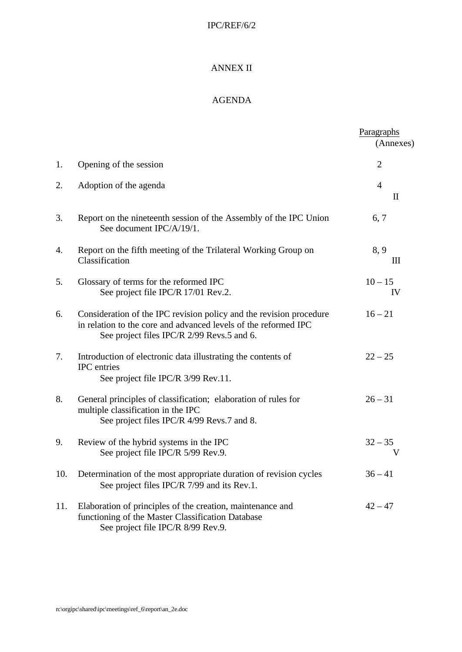## IPC/REF/6/2

## ANNEX II

## AGENDA

|     |                                                                                                                                                                                      | Paragraphs<br>(Annexes)                           |
|-----|--------------------------------------------------------------------------------------------------------------------------------------------------------------------------------------|---------------------------------------------------|
| 1.  | Opening of the session                                                                                                                                                               | $\overline{2}$                                    |
| 2.  | Adoption of the agenda                                                                                                                                                               | $\overline{4}$<br>$\mathop{\mathrm{II}}\nolimits$ |
| 3.  | Report on the nineteenth session of the Assembly of the IPC Union<br>See document IPC/A/19/1.                                                                                        | 6, 7                                              |
| 4.  | Report on the fifth meeting of the Trilateral Working Group on<br>Classification                                                                                                     | 8, 9<br>Ш                                         |
| 5.  | Glossary of terms for the reformed IPC<br>See project file IPC/R 17/01 Rev.2.                                                                                                        | $10 - 15$<br>IV                                   |
| 6.  | Consideration of the IPC revision policy and the revision procedure<br>in relation to the core and advanced levels of the reformed IPC<br>See project files IPC/R 2/99 Revs.5 and 6. | $16 - 21$                                         |
| 7.  | Introduction of electronic data illustrating the contents of<br><b>IPC</b> entries<br>See project file IPC/R 3/99 Rev.11.                                                            | $22 - 25$                                         |
| 8.  | General principles of classification; elaboration of rules for<br>multiple classification in the IPC<br>See project files IPC/R 4/99 Revs.7 and 8.                                   | $26 - 31$                                         |
| 9.  | Review of the hybrid systems in the IPC<br>See project file IPC/R 5/99 Rev.9.                                                                                                        | $32 - 35$<br>v                                    |
|     | 10. Determination of the most appropriate duration of revision cycles<br>See project files IPC/R 7/99 and its Rev.1.                                                                 | $36 - 41$                                         |
| 11. | Elaboration of principles of the creation, maintenance and<br>functioning of the Master Classification Database<br>See project file IPC/R 8/99 Rev.9.                                | $42 - 47$                                         |